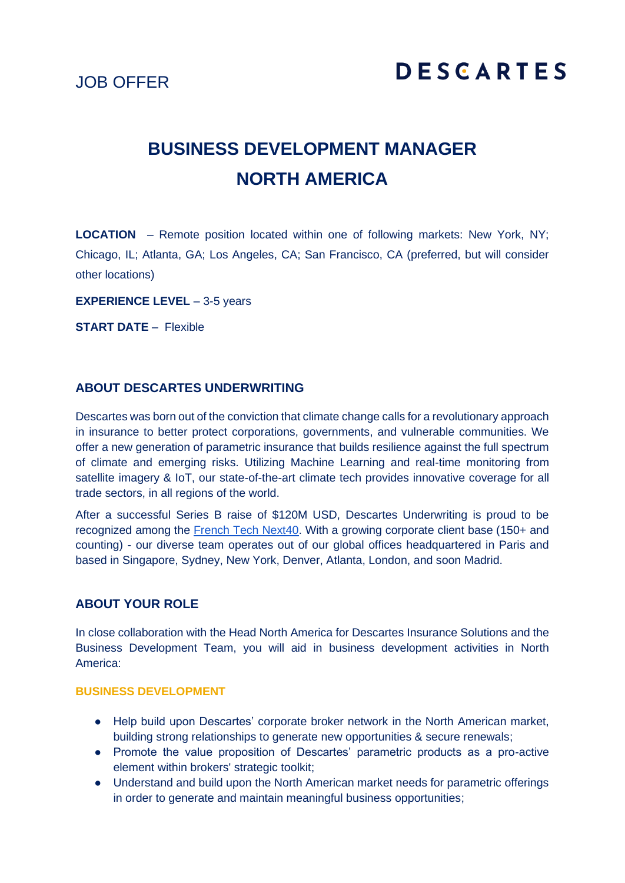JOB OFFER

# **BUSINESS DEVELOPMENT MANAGER NORTH AMERICA**

**LOCATION** – Remote position located within one of following markets: New York, NY; Chicago, IL; Atlanta, GA; Los Angeles, CA; San Francisco, CA (preferred, but will consider other locations)

**EXPERIENCE LEVEL** – 3-5 years

**START DATE** – Flexible

# **ABOUT DESCARTES UNDERWRITING**

Descartes was born out of the conviction that climate change calls for a revolutionary approach in insurance to better protect corporations, governments, and vulnerable communities. We offer a new generation of parametric insurance that builds resilience against the full spectrum of climate and emerging risks. Utilizing Machine Learning and real-time monitoring from satellite imagery & IoT, our state-of-the-art climate tech provides innovative coverage for all trade sectors, in all regions of the world.

After a successful Series B raise of \$120M USD, Descartes Underwriting is proud to be recognized among the [French Tech Next40.](https://lafrenchtech.com/fr/la-france-aide-les-startups/french-tech-120-2/) With a growing corporate client base (150+ and counting) - our diverse team operates out of our global offices headquartered in Paris and based in Singapore, Sydney, New York, Denver, Atlanta, London, and soon Madrid.

#### **ABOUT YOUR ROLE**

In close collaboration with the Head North America for Descartes Insurance Solutions and the Business Development Team, you will aid in business development activities in North America:

#### **BUSINESS DEVELOPMENT**

- Help build upon Descartes' corporate broker network in the North American market, building strong relationships to generate new opportunities & secure renewals;
- Promote the value proposition of Descartes' parametric products as a pro-active element within brokers' strategic toolkit;
- Understand and build upon the North American market needs for parametric offerings in order to generate and maintain meaningful business opportunities;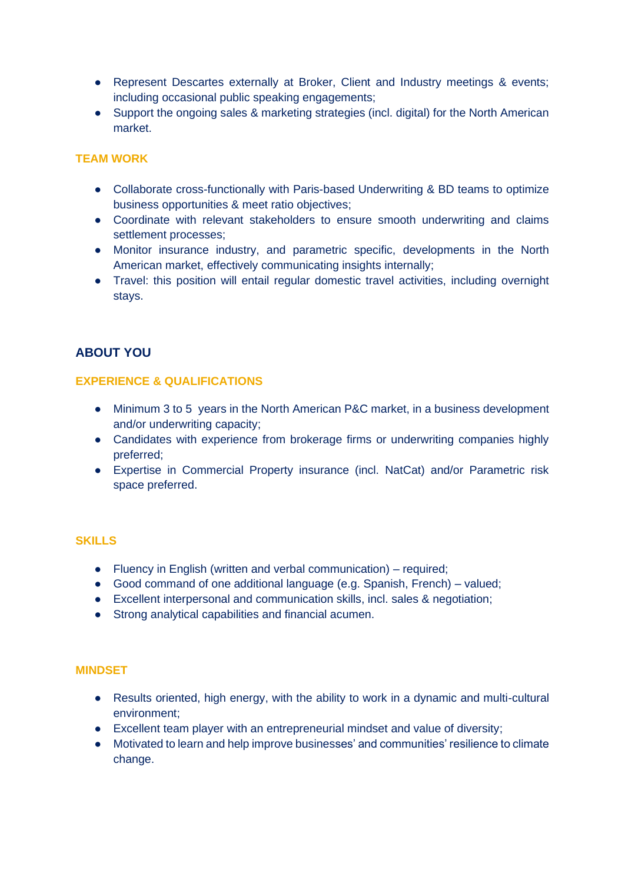- Represent Descartes externally at Broker, Client and Industry meetings & events; including occasional public speaking engagements;
- Support the ongoing sales & marketing strategies (incl. digital) for the North American market.

# **TEAM WORK**

- Collaborate cross-functionally with Paris-based Underwriting & BD teams to optimize business opportunities & meet ratio objectives;
- Coordinate with relevant stakeholders to ensure smooth underwriting and claims settlement processes;
- Monitor insurance industry, and parametric specific, developments in the North American market, effectively communicating insights internally;
- Travel: this position will entail regular domestic travel activities, including overnight stays.

# **ABOUT YOU**

#### **EXPERIENCE & QUALIFICATIONS**

- Minimum 3 to 5 years in the North American P&C market, in a business development and/or underwriting capacity;
- Candidates with experience from brokerage firms or underwriting companies highly preferred;
- Expertise in Commercial Property insurance (incl. NatCat) and/or Parametric risk space preferred.

# **SKILLS**

- Fluency in English (written and verbal communication) required;
- Good command of one additional language (e.g. Spanish, French) valued;
- Excellent interpersonal and communication skills, incl. sales & negotiation;
- Strong analytical capabilities and financial acumen.

# **MINDSET**

- Results oriented, high energy, with the ability to work in a dynamic and multi-cultural environment;
- Excellent team player with an entrepreneurial mindset and value of diversity;
- Motivated to learn and help improve businesses' and communities' resilience to climate change.